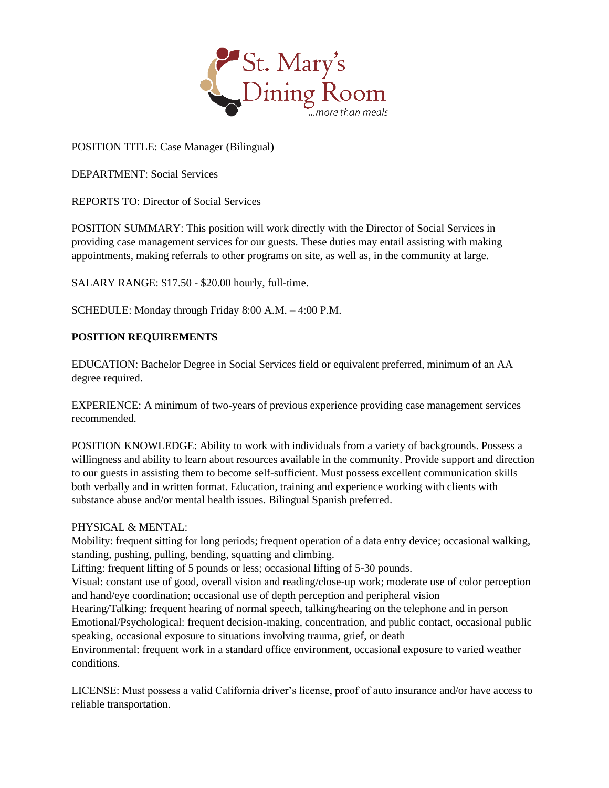

POSITION TITLE: Case Manager (Bilingual)

DEPARTMENT: Social Services

REPORTS TO: Director of Social Services

POSITION SUMMARY: This position will work directly with the Director of Social Services in providing case management services for our guests. These duties may entail assisting with making appointments, making referrals to other programs on site, as well as, in the community at large.

SALARY RANGE: \$17.50 - \$20.00 hourly, full-time.

SCHEDULE: Monday through Friday 8:00 A.M. – 4:00 P.M.

## **POSITION REQUIREMENTS**

EDUCATION: Bachelor Degree in Social Services field or equivalent preferred, minimum of an AA degree required.

EXPERIENCE: A minimum of two-years of previous experience providing case management services recommended.

POSITION KNOWLEDGE: Ability to work with individuals from a variety of backgrounds. Possess a willingness and ability to learn about resources available in the community. Provide support and direction to our guests in assisting them to become self-sufficient. Must possess excellent communication skills both verbally and in written format. Education, training and experience working with clients with substance abuse and/or mental health issues. Bilingual Spanish preferred.

## PHYSICAL & MENTAL:

Mobility: frequent sitting for long periods; frequent operation of a data entry device; occasional walking, standing, pushing, pulling, bending, squatting and climbing.

Lifting: frequent lifting of 5 pounds or less; occasional lifting of 5-30 pounds.

Visual: constant use of good, overall vision and reading/close-up work; moderate use of color perception and hand/eye coordination; occasional use of depth perception and peripheral vision

Hearing/Talking: frequent hearing of normal speech, talking/hearing on the telephone and in person Emotional/Psychological: frequent decision-making, concentration, and public contact, occasional public speaking, occasional exposure to situations involving trauma, grief, or death

Environmental: frequent work in a standard office environment, occasional exposure to varied weather conditions.

LICENSE: Must possess a valid California driver's license, proof of auto insurance and/or have access to reliable transportation.